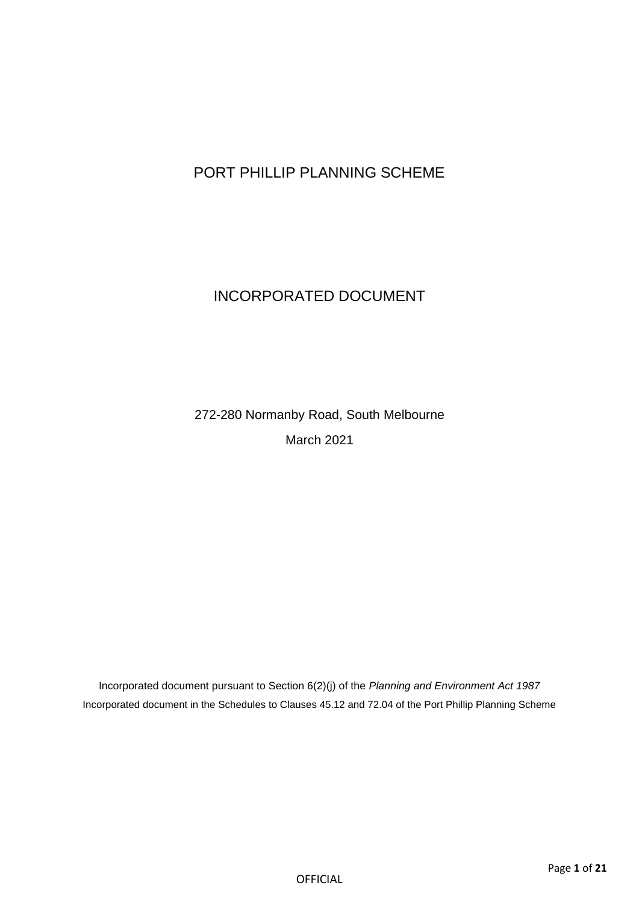# PORT PHILLIP PLANNING SCHEME

# INCORPORATED DOCUMENT

272-280 Normanby Road, South Melbourne March 2021

Incorporated document pursuant to Section 6(2)(j) of the *Planning and Environment Act 1987* Incorporated document in the Schedules to Clauses 45.12 and 72.04 of the Port Phillip Planning Scheme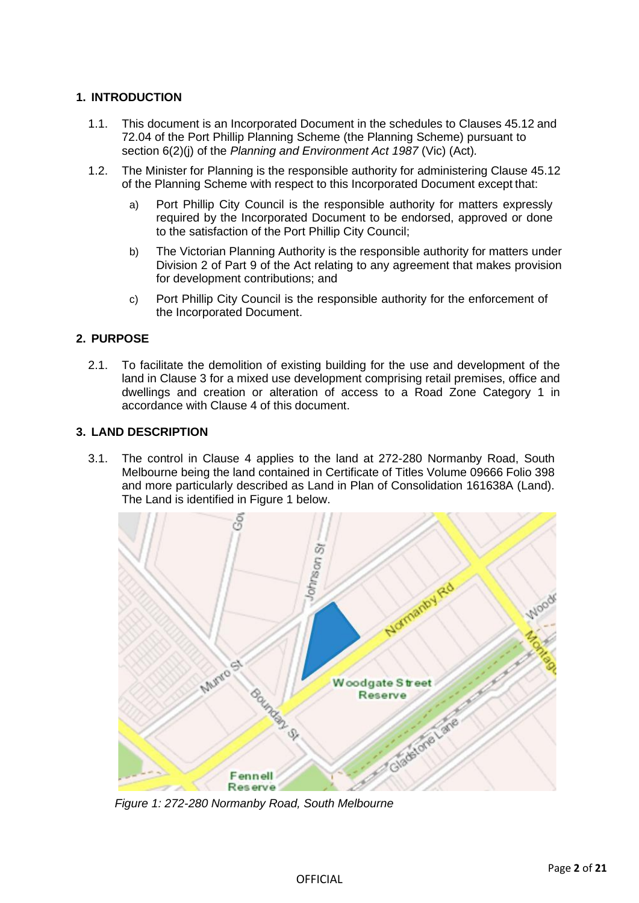# **1. INTRODUCTION**

- 1.1. This document is an Incorporated Document in the schedules to Clauses 45.12 and 72.04 of the Port Phillip Planning Scheme (the Planning Scheme) pursuant to section 6(2)(j) of the *Planning and Environment Act 1987* (Vic) (Act)*.*
- 1.2. The Minister for Planning is the responsible authority for administering Clause 45.12 of the Planning Scheme with respect to this Incorporated Document except that:
	- a) Port Phillip City Council is the responsible authority for matters expressly required by the Incorporated Document to be endorsed, approved or done to the satisfaction of the Port Phillip City Council;
	- b) The Victorian Planning Authority is the responsible authority for matters under Division 2 of Part 9 of the Act relating to any agreement that makes provision for development contributions; and
	- c) Port Phillip City Council is the responsible authority for the enforcement of the Incorporated Document.

## **2. PURPOSE**

2.1. To facilitate the demolition of existing building for the use and development of the land in Clause 3 for a mixed use development comprising retail premises, office and dwellings and creation or alteration of access to a Road Zone Category 1 in accordance with Clause 4 of this document.

## **3. LAND DESCRIPTION**

3.1. The control in Clause 4 applies to the land at 272-280 Normanby Road, South Melbourne being the land contained in Certificate of Titles Volume 09666 Folio 398 and more particularly described as Land in Plan of Consolidation 161638A (Land). The Land is identified in Figure 1 below.



*Figure 1: 272-280 Normanby Road, South Melbourne*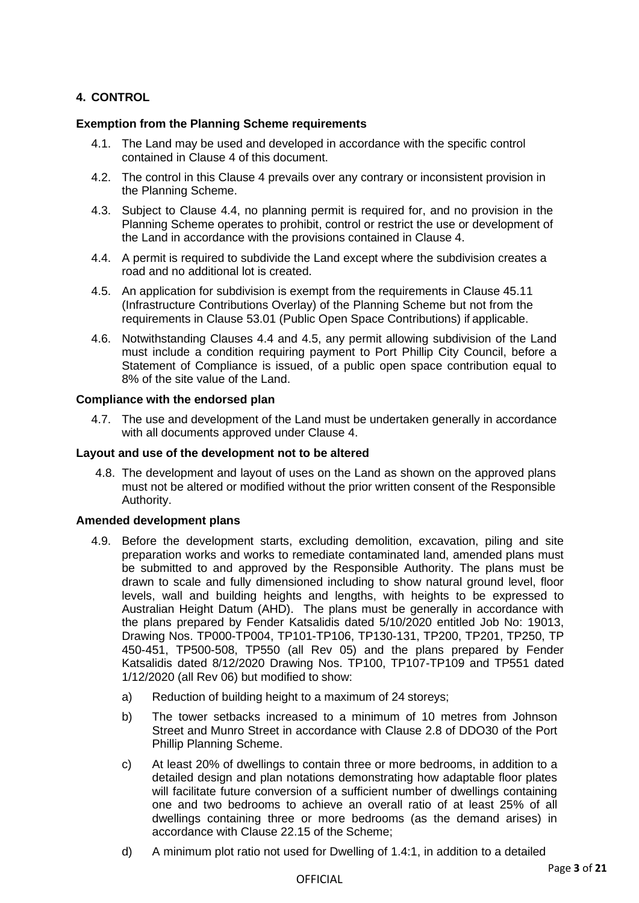# **4. CONTROL**

## **Exemption from the Planning Scheme requirements**

- 4.1. The Land may be used and developed in accordance with the specific control contained in Clause 4 of this document.
- 4.2. The control in this Clause 4 prevails over any contrary or inconsistent provision in the Planning Scheme.
- 4.3. Subject to Clause 4.4, no planning permit is required for, and no provision in the Planning Scheme operates to prohibit, control or restrict the use or development of the Land in accordance with the provisions contained in Clause 4.
- 4.4. A permit is required to subdivide the Land except where the subdivision creates a road and no additional lot is created.
- 4.5. An application for subdivision is exempt from the requirements in Clause 45.11 (Infrastructure Contributions Overlay) of the Planning Scheme but not from the requirements in Clause 53.01 (Public Open Space Contributions) if applicable.
- 4.6. Notwithstanding Clauses 4.4 and 4.5, any permit allowing subdivision of the Land must include a condition requiring payment to Port Phillip City Council, before a Statement of Compliance is issued, of a public open space contribution equal to 8% of the site value of the Land.

## **Compliance with the endorsed plan**

4.7. The use and development of the Land must be undertaken generally in accordance with all documents approved under Clause 4.

## **Layout and use of the development not to be altered**

4.8. The development and layout of uses on the Land as shown on the approved plans must not be altered or modified without the prior written consent of the Responsible Authority.

## **Amended development plans**

- 4.9. Before the development starts, excluding demolition, excavation, piling and site preparation works and works to remediate contaminated land, amended plans must be submitted to and approved by the Responsible Authority. The plans must be drawn to scale and fully dimensioned including to show natural ground level, floor levels, wall and building heights and lengths, with heights to be expressed to Australian Height Datum (AHD). The plans must be generally in accordance with the plans prepared by Fender Katsalidis dated 5/10/2020 entitled Job No: 19013, Drawing Nos. TP000-TP004, TP101-TP106, TP130-131, TP200, TP201, TP250, TP 450-451, TP500-508, TP550 (all Rev 05) and the plans prepared by Fender Katsalidis dated 8/12/2020 Drawing Nos. TP100, TP107-TP109 and TP551 dated 1/12/2020 (all Rev 06) but modified to show:
	- a) Reduction of building height to a maximum of 24 storeys;
	- b) The tower setbacks increased to a minimum of 10 metres from Johnson Street and Munro Street in accordance with Clause 2.8 of DDO30 of the Port Phillip Planning Scheme.
	- c) At least 20% of dwellings to contain three or more bedrooms, in addition to a detailed design and plan notations demonstrating how adaptable floor plates will facilitate future conversion of a sufficient number of dwellings containing one and two bedrooms to achieve an overall ratio of at least 25% of all dwellings containing three or more bedrooms (as the demand arises) in accordance with Clause 22.15 of the Scheme;
	- d) A minimum plot ratio not used for Dwelling of 1.4:1, in addition to a detailed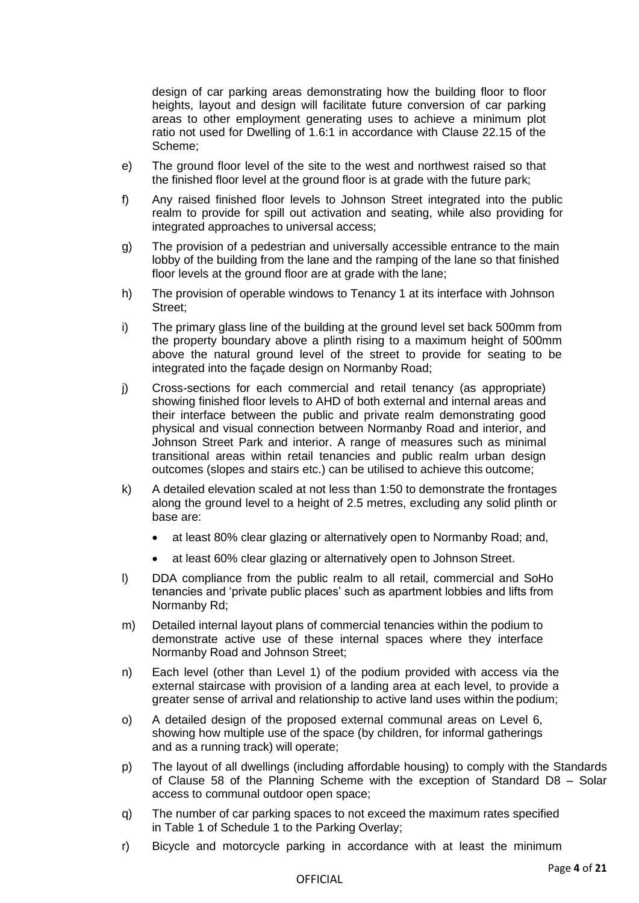design of car parking areas demonstrating how the building floor to floor heights, layout and design will facilitate future conversion of car parking areas to other employment generating uses to achieve a minimum plot ratio not used for Dwelling of 1.6:1 in accordance with Clause 22.15 of the Scheme;

- e) The ground floor level of the site to the west and northwest raised so that the finished floor level at the ground floor is at grade with the future park;
- f) Any raised finished floor levels to Johnson Street integrated into the public realm to provide for spill out activation and seating, while also providing for integrated approaches to universal access;
- g) The provision of a pedestrian and universally accessible entrance to the main lobby of the building from the lane and the ramping of the lane so that finished floor levels at the ground floor are at grade with the lane;
- h) The provision of operable windows to Tenancy 1 at its interface with Johnson Street;
- i) The primary glass line of the building at the ground level set back 500mm from the property boundary above a plinth rising to a maximum height of 500mm above the natural ground level of the street to provide for seating to be integrated into the façade design on Normanby Road;
- j) Cross-sections for each commercial and retail tenancy (as appropriate) showing finished floor levels to AHD of both external and internal areas and their interface between the public and private realm demonstrating good physical and visual connection between Normanby Road and interior, and Johnson Street Park and interior. A range of measures such as minimal transitional areas within retail tenancies and public realm urban design outcomes (slopes and stairs etc.) can be utilised to achieve this outcome;
- k) A detailed elevation scaled at not less than 1:50 to demonstrate the frontages along the ground level to a height of 2.5 metres, excluding any solid plinth or base are:
	- at least 80% clear glazing or alternatively open to Normanby Road; and,
	- at least 60% clear glazing or alternatively open to Johnson Street.
- l) DDA compliance from the public realm to all retail, commercial and SoHo tenancies and 'private public places' such as apartment lobbies and lifts from Normanby Rd;
- m) Detailed internal layout plans of commercial tenancies within the podium to demonstrate active use of these internal spaces where they interface Normanby Road and Johnson Street;
- n) Each level (other than Level 1) of the podium provided with access via the external staircase with provision of a landing area at each level, to provide a greater sense of arrival and relationship to active land uses within the podium;
- o) A detailed design of the proposed external communal areas on Level 6, showing how multiple use of the space (by children, for informal gatherings and as a running track) will operate;
- p) The layout of all dwellings (including affordable housing) to comply with the Standards of Clause 58 of the Planning Scheme with the exception of Standard D8 – Solar access to communal outdoor open space;
- q) The number of car parking spaces to not exceed the maximum rates specified in Table 1 of Schedule 1 to the Parking Overlay;
- r) Bicycle and motorcycle parking in accordance with at least the minimum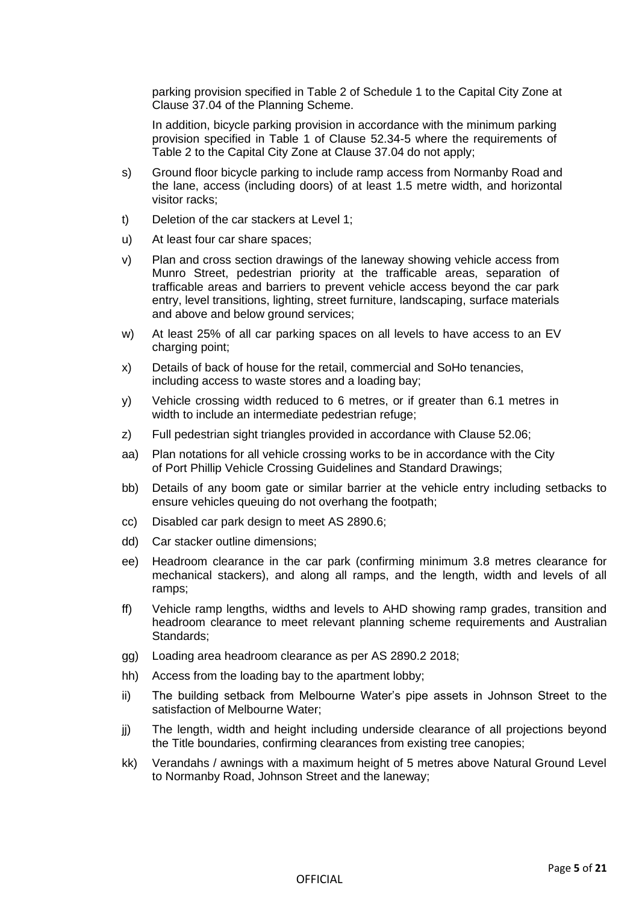parking provision specified in Table 2 of Schedule 1 to the Capital City Zone at Clause 37.04 of the Planning Scheme.

In addition, bicycle parking provision in accordance with the minimum parking provision specified in Table 1 of Clause 52.34-5 where the requirements of Table 2 to the Capital City Zone at Clause 37.04 do not apply;

- s) Ground floor bicycle parking to include ramp access from Normanby Road and the lane, access (including doors) of at least 1.5 metre width, and horizontal visitor racks;
- t) Deletion of the car stackers at Level 1;
- u) At least four car share spaces;
- v) Plan and cross section drawings of the laneway showing vehicle access from Munro Street, pedestrian priority at the trafficable areas, separation of trafficable areas and barriers to prevent vehicle access beyond the car park entry, level transitions, lighting, street furniture, landscaping, surface materials and above and below ground services;
- w) At least 25% of all car parking spaces on all levels to have access to an EV charging point;
- x) Details of back of house for the retail, commercial and SoHo tenancies, including access to waste stores and a loading bay;
- y) Vehicle crossing width reduced to 6 metres, or if greater than 6.1 metres in width to include an intermediate pedestrian refuge;
- z) Full pedestrian sight triangles provided in accordance with Clause 52.06;
- aa) Plan notations for all vehicle crossing works to be in accordance with the City of Port Phillip Vehicle Crossing Guidelines and Standard Drawings;
- bb) Details of any boom gate or similar barrier at the vehicle entry including setbacks to ensure vehicles queuing do not overhang the footpath;
- cc) Disabled car park design to meet AS 2890.6;
- dd) Car stacker outline dimensions;
- ee) Headroom clearance in the car park (confirming minimum 3.8 metres clearance for mechanical stackers), and along all ramps, and the length, width and levels of all ramps;
- ff) Vehicle ramp lengths, widths and levels to AHD showing ramp grades, transition and headroom clearance to meet relevant planning scheme requirements and Australian Standards;
- gg) Loading area headroom clearance as per AS 2890.2 2018;
- hh) Access from the loading bay to the apartment lobby;
- ii) The building setback from Melbourne Water's pipe assets in Johnson Street to the satisfaction of Melbourne Water;
- jj) The length, width and height including underside clearance of all projections beyond the Title boundaries, confirming clearances from existing tree canopies;
- kk) Verandahs / awnings with a maximum height of 5 metres above Natural Ground Level to Normanby Road, Johnson Street and the laneway;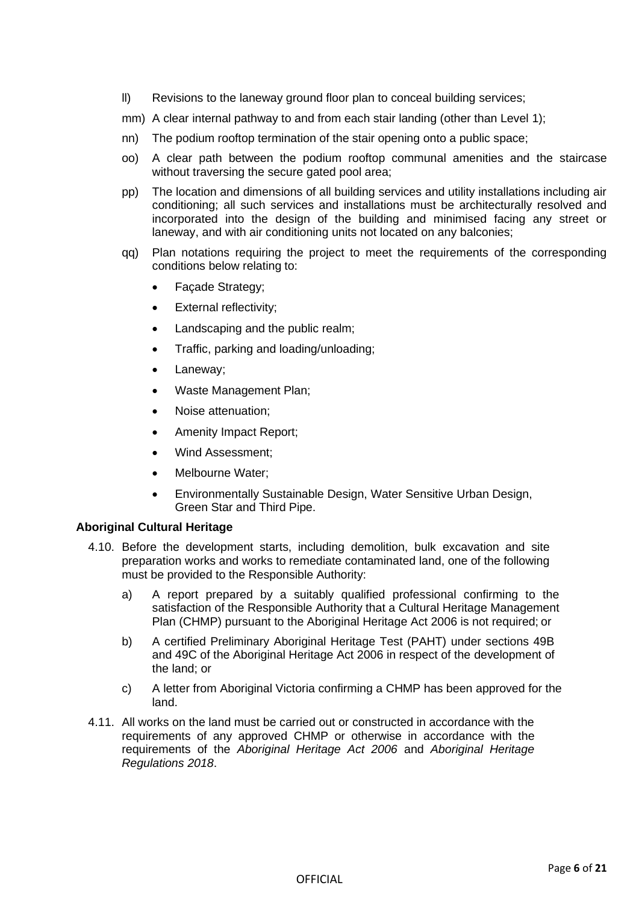- ll) Revisions to the laneway ground floor plan to conceal building services;
- mm) A clear internal pathway to and from each stair landing (other than Level 1);
- nn) The podium rooftop termination of the stair opening onto a public space;
- oo) A clear path between the podium rooftop communal amenities and the staircase without traversing the secure gated pool area;
- pp) The location and dimensions of all building services and utility installations including air conditioning; all such services and installations must be architecturally resolved and incorporated into the design of the building and minimised facing any street or laneway, and with air conditioning units not located on any balconies;
- qq) Plan notations requiring the project to meet the requirements of the corresponding conditions below relating to:
	- Façade Strategy;
	- External reflectivity;
	- Landscaping and the public realm;
	- Traffic, parking and loading/unloading;
	- Laneway;
	- Waste Management Plan;
	- Noise attenuation;
	- Amenity Impact Report;
	- Wind Assessment;
	- Melbourne Water;
	- Environmentally Sustainable Design, Water Sensitive Urban Design, Green Star and Third Pipe.

## **Aboriginal Cultural Heritage**

- 4.10. Before the development starts, including demolition, bulk excavation and site preparation works and works to remediate contaminated land, one of the following must be provided to the Responsible Authority:
	- a) A report prepared by a suitably qualified professional confirming to the satisfaction of the Responsible Authority that a Cultural Heritage Management Plan (CHMP) pursuant to the Aboriginal Heritage Act 2006 is not required; or
	- b) A certified Preliminary Aboriginal Heritage Test (PAHT) under sections 49B and 49C of the Aboriginal Heritage Act 2006 in respect of the development of the land; or
	- c) A letter from Aboriginal Victoria confirming a CHMP has been approved for the land.
- 4.11. All works on the land must be carried out or constructed in accordance with the requirements of any approved CHMP or otherwise in accordance with the requirements of the *Aboriginal Heritage Act 2006* and *Aboriginal Heritage Regulations 2018*.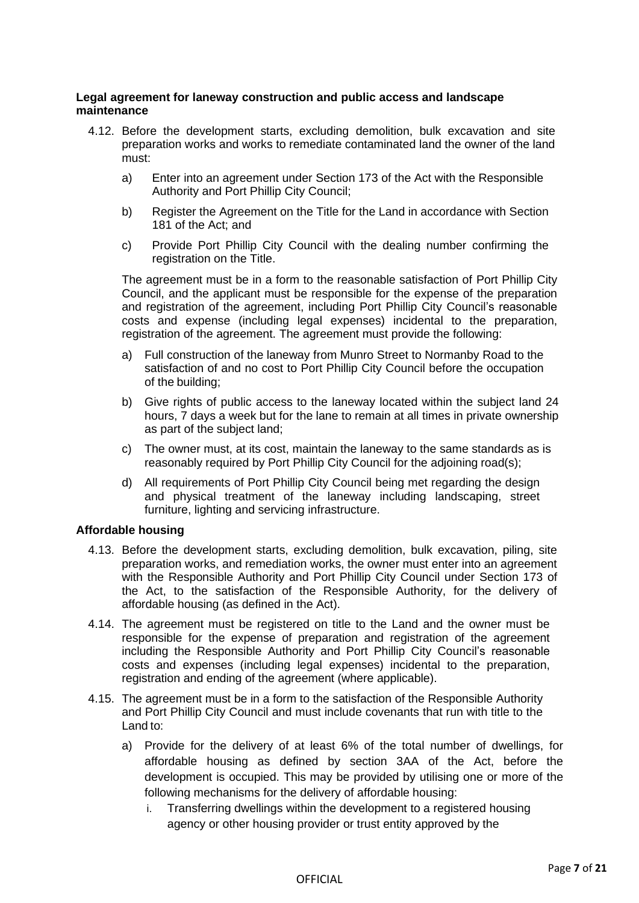## **Legal agreement for laneway construction and public access and landscape maintenance**

- 4.12. Before the development starts, excluding demolition, bulk excavation and site preparation works and works to remediate contaminated land the owner of the land must:
	- a) Enter into an agreement under Section 173 of the Act with the Responsible Authority and Port Phillip City Council;
	- b) Register the Agreement on the Title for the Land in accordance with Section 181 of the Act; and
	- c) Provide Port Phillip City Council with the dealing number confirming the registration on the Title.

The agreement must be in a form to the reasonable satisfaction of Port Phillip City Council, and the applicant must be responsible for the expense of the preparation and registration of the agreement, including Port Phillip City Council's reasonable costs and expense (including legal expenses) incidental to the preparation, registration of the agreement. The agreement must provide the following:

- a) Full construction of the laneway from Munro Street to Normanby Road to the satisfaction of and no cost to Port Phillip City Council before the occupation of the building;
- b) Give rights of public access to the laneway located within the subject land 24 hours, 7 days a week but for the lane to remain at all times in private ownership as part of the subject land;
- c) The owner must, at its cost, maintain the laneway to the same standards as is reasonably required by Port Phillip City Council for the adjoining road(s);
- d) All requirements of Port Phillip City Council being met regarding the design and physical treatment of the laneway including landscaping, street furniture, lighting and servicing infrastructure.

## **Affordable housing**

- 4.13. Before the development starts, excluding demolition, bulk excavation, piling, site preparation works, and remediation works, the owner must enter into an agreement with the Responsible Authority and Port Phillip City Council under Section 173 of the Act, to the satisfaction of the Responsible Authority, for the delivery of affordable housing (as defined in the Act).
- 4.14. The agreement must be registered on title to the Land and the owner must be responsible for the expense of preparation and registration of the agreement including the Responsible Authority and Port Phillip City Council's reasonable costs and expenses (including legal expenses) incidental to the preparation, registration and ending of the agreement (where applicable).
- 4.15. The agreement must be in a form to the satisfaction of the Responsible Authority and Port Phillip City Council and must include covenants that run with title to the Land to:
	- a) Provide for the delivery of at least 6% of the total number of dwellings, for affordable housing as defined by section 3AA of the Act, before the development is occupied. This may be provided by utilising one or more of the following mechanisms for the delivery of affordable housing:
		- i. Transferring dwellings within the development to a registered housing agency or other housing provider or trust entity approved by the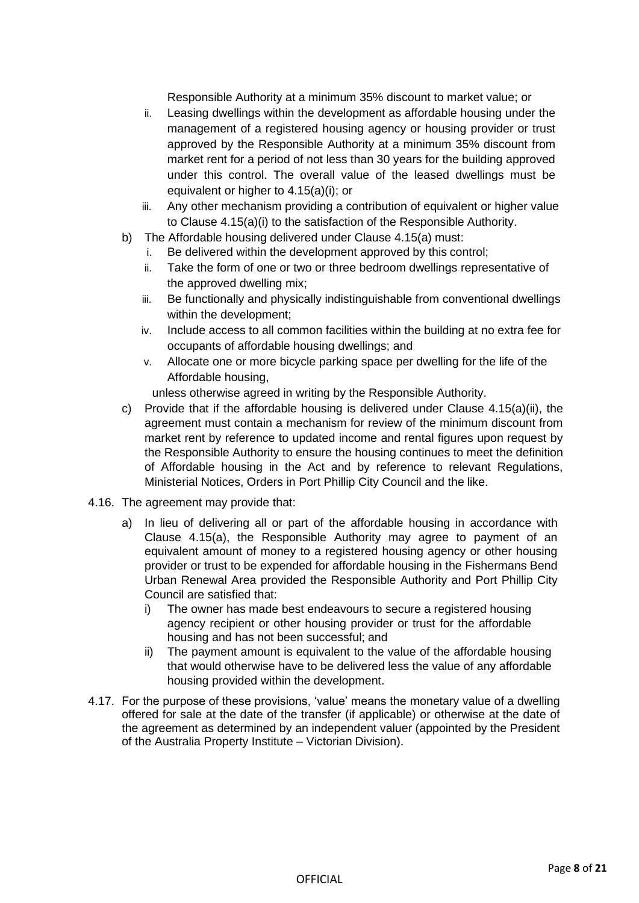Responsible Authority at a minimum 35% discount to market value; or

- ii. Leasing dwellings within the development as affordable housing under the management of a registered housing agency or housing provider or trust approved by the Responsible Authority at a minimum 35% discount from market rent for a period of not less than 30 years for the building approved under this control. The overall value of the leased dwellings must be equivalent or higher to 4.15(a)(i); or
- iii. Any other mechanism providing a contribution of equivalent or higher value to Clause 4.15(a)(i) to the satisfaction of the Responsible Authority.
- b) The Affordable housing delivered under Clause 4.15(a) must:
	- i. Be delivered within the development approved by this control;
	- ii. Take the form of one or two or three bedroom dwellings representative of the approved dwelling mix;
	- iii. Be functionally and physically indistinguishable from conventional dwellings within the development;
	- iv. Include access to all common facilities within the building at no extra fee for occupants of affordable housing dwellings; and
	- v. Allocate one or more bicycle parking space per dwelling for the life of the Affordable housing,

unless otherwise agreed in writing by the Responsible Authority.

- c) Provide that if the affordable housing is delivered under Clause 4.15(a)(ii), the agreement must contain a mechanism for review of the minimum discount from market rent by reference to updated income and rental figures upon request by the Responsible Authority to ensure the housing continues to meet the definition of Affordable housing in the Act and by reference to relevant Regulations, Ministerial Notices, Orders in Port Phillip City Council and the like.
- 4.16. The agreement may provide that:
	- a) In lieu of delivering all or part of the affordable housing in accordance with Clause 4.15(a), the Responsible Authority may agree to payment of an equivalent amount of money to a registered housing agency or other housing provider or trust to be expended for affordable housing in the Fishermans Bend Urban Renewal Area provided the Responsible Authority and Port Phillip City Council are satisfied that:
		- i) The owner has made best endeavours to secure a registered housing agency recipient or other housing provider or trust for the affordable housing and has not been successful; and
		- ii) The payment amount is equivalent to the value of the affordable housing that would otherwise have to be delivered less the value of any affordable housing provided within the development.
- 4.17. For the purpose of these provisions, 'value' means the monetary value of a dwelling offered for sale at the date of the transfer (if applicable) or otherwise at the date of the agreement as determined by an independent valuer (appointed by the President of the Australia Property Institute – Victorian Division).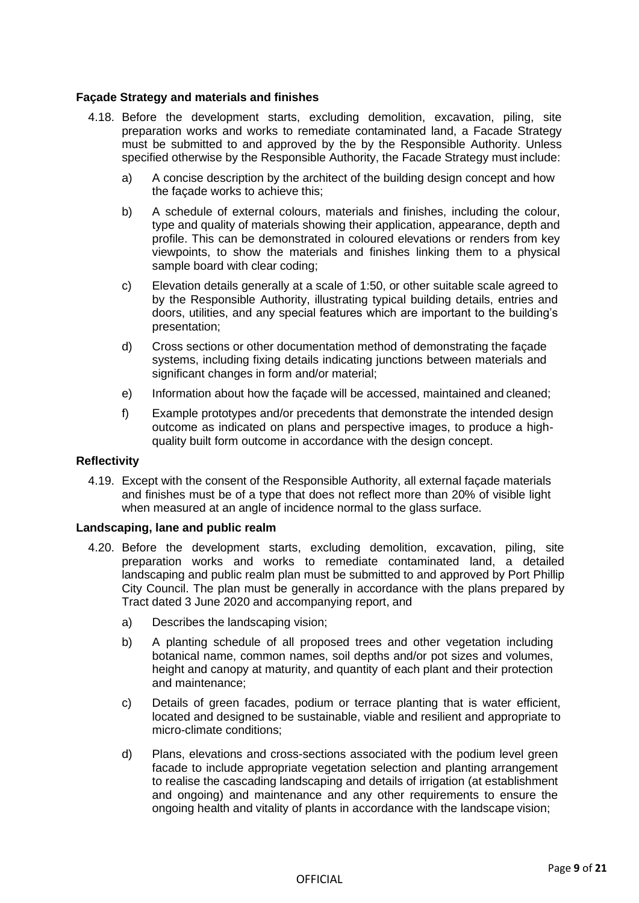## **Façade Strategy and materials and finishes**

- 4.18. Before the development starts, excluding demolition, excavation, piling, site preparation works and works to remediate contaminated land, a Facade Strategy must be submitted to and approved by the by the Responsible Authority. Unless specified otherwise by the Responsible Authority, the Facade Strategy must include:
	- a) A concise description by the architect of the building design concept and how the façade works to achieve this;
	- b) A schedule of external colours, materials and finishes, including the colour, type and quality of materials showing their application, appearance, depth and profile. This can be demonstrated in coloured elevations or renders from key viewpoints, to show the materials and finishes linking them to a physical sample board with clear coding;
	- c) Elevation details generally at a scale of 1:50, or other suitable scale agreed to by the Responsible Authority, illustrating typical building details, entries and doors, utilities, and any special features which are important to the building's presentation;
	- d) Cross sections or other documentation method of demonstrating the façade systems, including fixing details indicating junctions between materials and significant changes in form and/or material;
	- e) Information about how the façade will be accessed, maintained and cleaned;
	- f) Example prototypes and/or precedents that demonstrate the intended design outcome as indicated on plans and perspective images, to produce a highquality built form outcome in accordance with the design concept.

## **Reflectivity**

4.19. Except with the consent of the Responsible Authority, all external façade materials and finishes must be of a type that does not reflect more than 20% of visible light when measured at an angle of incidence normal to the glass surface.

## **Landscaping, lane and public realm**

- 4.20. Before the development starts, excluding demolition, excavation, piling, site preparation works and works to remediate contaminated land, a detailed landscaping and public realm plan must be submitted to and approved by Port Phillip City Council. The plan must be generally in accordance with the plans prepared by Tract dated 3 June 2020 and accompanying report, and
	- a) Describes the landscaping vision;
	- b) A planting schedule of all proposed trees and other vegetation including botanical name, common names, soil depths and/or pot sizes and volumes, height and canopy at maturity, and quantity of each plant and their protection and maintenance;
	- c) Details of green facades, podium or terrace planting that is water efficient, located and designed to be sustainable, viable and resilient and appropriate to micro-climate conditions;
	- d) Plans, elevations and cross-sections associated with the podium level green facade to include appropriate vegetation selection and planting arrangement to realise the cascading landscaping and details of irrigation (at establishment and ongoing) and maintenance and any other requirements to ensure the ongoing health and vitality of plants in accordance with the landscape vision;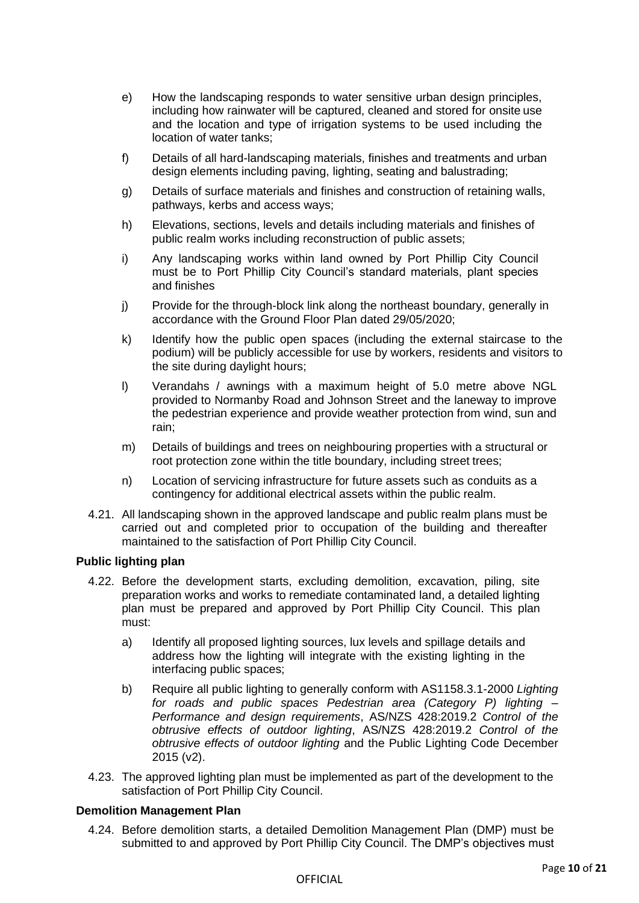- e) How the landscaping responds to water sensitive urban design principles, including how rainwater will be captured, cleaned and stored for onsite use and the location and type of irrigation systems to be used including the location of water tanks;
- f) Details of all hard-landscaping materials, finishes and treatments and urban design elements including paving, lighting, seating and balustrading;
- g) Details of surface materials and finishes and construction of retaining walls, pathways, kerbs and access ways;
- h) Elevations, sections, levels and details including materials and finishes of public realm works including reconstruction of public assets;
- i) Any landscaping works within land owned by Port Phillip City Council must be to Port Phillip City Council's standard materials, plant species and finishes
- j) Provide for the through-block link along the northeast boundary, generally in accordance with the Ground Floor Plan dated 29/05/2020;
- k) Identify how the public open spaces (including the external staircase to the podium) will be publicly accessible for use by workers, residents and visitors to the site during daylight hours;
- l) Verandahs / awnings with a maximum height of 5.0 metre above NGL provided to Normanby Road and Johnson Street and the laneway to improve the pedestrian experience and provide weather protection from wind, sun and rain;
- m) Details of buildings and trees on neighbouring properties with a structural or root protection zone within the title boundary, including street trees;
- n) Location of servicing infrastructure for future assets such as conduits as a contingency for additional electrical assets within the public realm.
- 4.21. All landscaping shown in the approved landscape and public realm plans must be carried out and completed prior to occupation of the building and thereafter maintained to the satisfaction of Port Phillip City Council.

## **Public lighting plan**

- 4.22. Before the development starts, excluding demolition, excavation, piling, site preparation works and works to remediate contaminated land, a detailed lighting plan must be prepared and approved by Port Phillip City Council. This plan must:
	- a) Identify all proposed lighting sources, lux levels and spillage details and address how the lighting will integrate with the existing lighting in the interfacing public spaces;
	- b) Require all public lighting to generally conform with AS1158.3.1-2000 *Lighting for roads and public spaces Pedestrian area (Category P) lighting – Performance and design requirements*, AS/NZS 428:2019.2 *Control of the obtrusive effects of outdoor lighting*, AS/NZS 428:2019.2 *Control of the obtrusive effects of outdoor lighting* and the Public Lighting Code December 2015 (v2).
- 4.23. The approved lighting plan must be implemented as part of the development to the satisfaction of Port Phillip City Council.

## **Demolition Management Plan**

4.24. Before demolition starts, a detailed Demolition Management Plan (DMP) must be submitted to and approved by Port Phillip City Council. The DMP's objectives must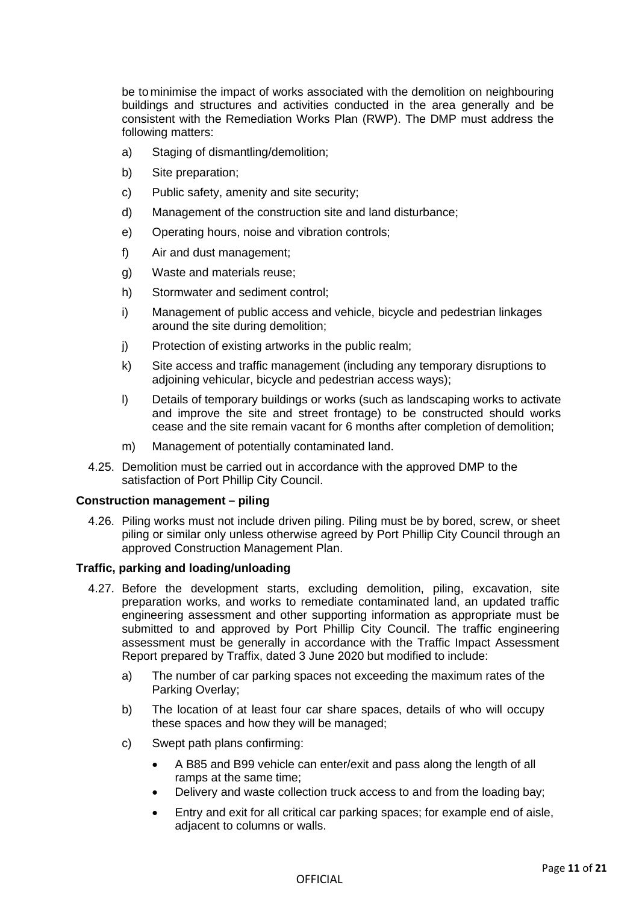be to minimise the impact of works associated with the demolition on neighbouring buildings and structures and activities conducted in the area generally and be consistent with the Remediation Works Plan (RWP). The DMP must address the following matters:

- a) Staging of dismantling/demolition;
- b) Site preparation;
- c) Public safety, amenity and site security;
- d) Management of the construction site and land disturbance;
- e) Operating hours, noise and vibration controls;
- f) Air and dust management;
- g) Waste and materials reuse;
- h) Stormwater and sediment control;
- i) Management of public access and vehicle, bicycle and pedestrian linkages around the site during demolition;
- j) Protection of existing artworks in the public realm;
- k) Site access and traffic management (including any temporary disruptions to adjoining vehicular, bicycle and pedestrian access ways);
- l) Details of temporary buildings or works (such as landscaping works to activate and improve the site and street frontage) to be constructed should works cease and the site remain vacant for 6 months after completion of demolition;
- m) Management of potentially contaminated land.
- 4.25. Demolition must be carried out in accordance with the approved DMP to the satisfaction of Port Phillip City Council.

## **Construction management – piling**

4.26. Piling works must not include driven piling. Piling must be by bored, screw, or sheet piling or similar only unless otherwise agreed by Port Phillip City Council through an approved Construction Management Plan.

## **Traffic, parking and loading/unloading**

- 4.27. Before the development starts, excluding demolition, piling, excavation, site preparation works, and works to remediate contaminated land, an updated traffic engineering assessment and other supporting information as appropriate must be submitted to and approved by Port Phillip City Council. The traffic engineering assessment must be generally in accordance with the Traffic Impact Assessment Report prepared by Traffix, dated 3 June 2020 but modified to include:
	- a) The number of car parking spaces not exceeding the maximum rates of the Parking Overlay;
	- b) The location of at least four car share spaces, details of who will occupy these spaces and how they will be managed;
	- c) Swept path plans confirming:
		- A B85 and B99 vehicle can enter/exit and pass along the length of all ramps at the same time;
		- Delivery and waste collection truck access to and from the loading bay;
		- Entry and exit for all critical car parking spaces; for example end of aisle, adjacent to columns or walls.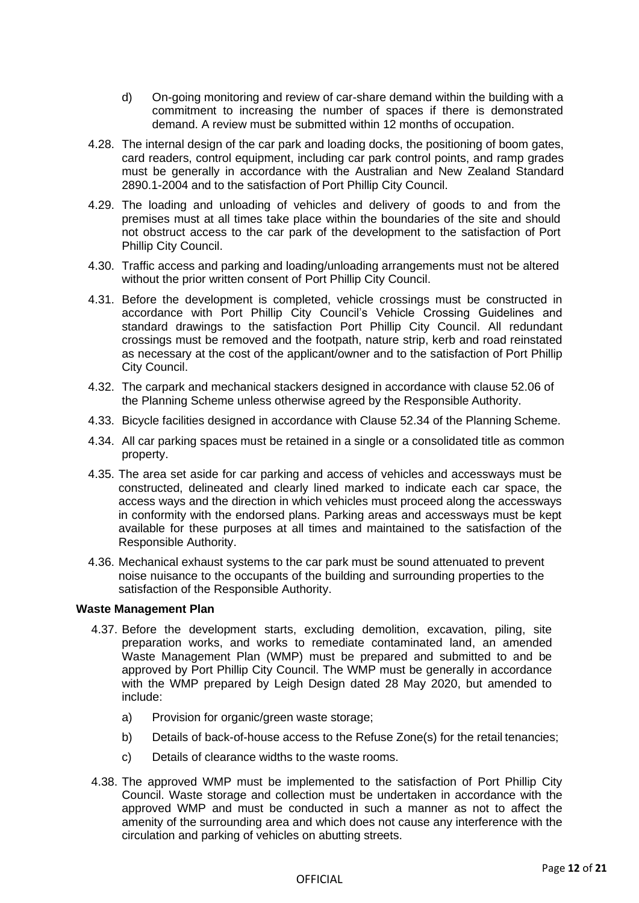- d) On-going monitoring and review of car-share demand within the building with a commitment to increasing the number of spaces if there is demonstrated demand. A review must be submitted within 12 months of occupation.
- 4.28. The internal design of the car park and loading docks, the positioning of boom gates, card readers, control equipment, including car park control points, and ramp grades must be generally in accordance with the Australian and New Zealand Standard 2890.1-2004 and to the satisfaction of Port Phillip City Council.
- 4.29. The loading and unloading of vehicles and delivery of goods to and from the premises must at all times take place within the boundaries of the site and should not obstruct access to the car park of the development to the satisfaction of Port Phillip City Council.
- 4.30. Traffic access and parking and loading/unloading arrangements must not be altered without the prior written consent of Port Phillip City Council.
- 4.31. Before the development is completed, vehicle crossings must be constructed in accordance with Port Phillip City Council's Vehicle Crossing Guidelines and standard drawings to the satisfaction Port Phillip City Council. All redundant crossings must be removed and the footpath, nature strip, kerb and road reinstated as necessary at the cost of the applicant/owner and to the satisfaction of Port Phillip City Council.
- 4.32. The carpark and mechanical stackers designed in accordance with clause 52.06 of the Planning Scheme unless otherwise agreed by the Responsible Authority.
- 4.33. Bicycle facilities designed in accordance with Clause 52.34 of the Planning Scheme.
- 4.34. All car parking spaces must be retained in a single or a consolidated title as common property.
- 4.35. The area set aside for car parking and access of vehicles and accessways must be constructed, delineated and clearly lined marked to indicate each car space, the access ways and the direction in which vehicles must proceed along the accessways in conformity with the endorsed plans. Parking areas and accessways must be kept available for these purposes at all times and maintained to the satisfaction of the Responsible Authority.
- 4.36. Mechanical exhaust systems to the car park must be sound attenuated to prevent noise nuisance to the occupants of the building and surrounding properties to the satisfaction of the Responsible Authority.

## **Waste Management Plan**

- 4.37. Before the development starts, excluding demolition, excavation, piling, site preparation works, and works to remediate contaminated land, an amended Waste Management Plan (WMP) must be prepared and submitted to and be approved by Port Phillip City Council. The WMP must be generally in accordance with the WMP prepared by Leigh Design dated 28 May 2020, but amended to include:
	- a) Provision for organic/green waste storage;
	- b) Details of back-of-house access to the Refuse Zone(s) for the retail tenancies;
	- c) Details of clearance widths to the waste rooms.
- 4.38. The approved WMP must be implemented to the satisfaction of Port Phillip City Council. Waste storage and collection must be undertaken in accordance with the approved WMP and must be conducted in such a manner as not to affect the amenity of the surrounding area and which does not cause any interference with the circulation and parking of vehicles on abutting streets.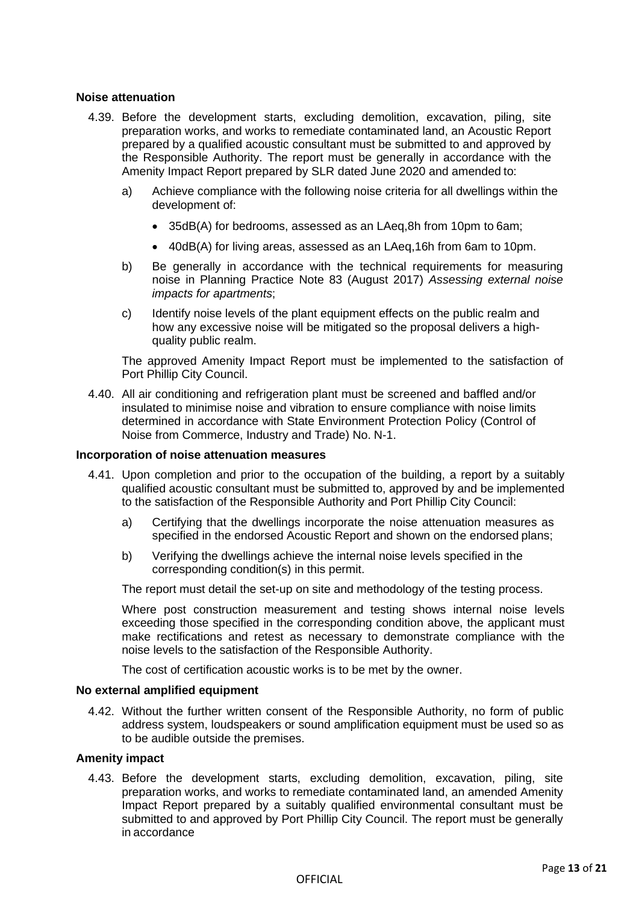## **Noise attenuation**

- 4.39. Before the development starts, excluding demolition, excavation, piling, site preparation works, and works to remediate contaminated land, an Acoustic Report prepared by a qualified acoustic consultant must be submitted to and approved by the Responsible Authority. The report must be generally in accordance with the Amenity Impact Report prepared by SLR dated June 2020 and amended to:
	- a) Achieve compliance with the following noise criteria for all dwellings within the development of:
		- 35dB(A) for bedrooms, assessed as an LAeq,8h from 10pm to 6am;
		- 40dB(A) for living areas, assessed as an LAeq,16h from 6am to 10pm.
	- b) Be generally in accordance with the technical requirements for measuring noise in Planning Practice Note 83 (August 2017) *Assessing external noise impacts for apartments*;
	- c) Identify noise levels of the plant equipment effects on the public realm and how any excessive noise will be mitigated so the proposal delivers a highquality public realm.

The approved Amenity Impact Report must be implemented to the satisfaction of Port Phillip City Council.

4.40. All air conditioning and refrigeration plant must be screened and baffled and/or insulated to minimise noise and vibration to ensure compliance with noise limits determined in accordance with State Environment Protection Policy (Control of Noise from Commerce, Industry and Trade) No. N-1.

## **Incorporation of noise attenuation measures**

- 4.41. Upon completion and prior to the occupation of the building, a report by a suitably qualified acoustic consultant must be submitted to, approved by and be implemented to the satisfaction of the Responsible Authority and Port Phillip City Council:
	- a) Certifying that the dwellings incorporate the noise attenuation measures as specified in the endorsed Acoustic Report and shown on the endorsed plans;
	- b) Verifying the dwellings achieve the internal noise levels specified in the corresponding condition(s) in this permit.

The report must detail the set-up on site and methodology of the testing process.

Where post construction measurement and testing shows internal noise levels exceeding those specified in the corresponding condition above, the applicant must make rectifications and retest as necessary to demonstrate compliance with the noise levels to the satisfaction of the Responsible Authority.

The cost of certification acoustic works is to be met by the owner.

## **No external amplified equipment**

4.42. Without the further written consent of the Responsible Authority, no form of public address system, loudspeakers or sound amplification equipment must be used so as to be audible outside the premises.

## **Amenity impact**

4.43. Before the development starts, excluding demolition, excavation, piling, site preparation works, and works to remediate contaminated land, an amended Amenity Impact Report prepared by a suitably qualified environmental consultant must be submitted to and approved by Port Phillip City Council. The report must be generally in accordance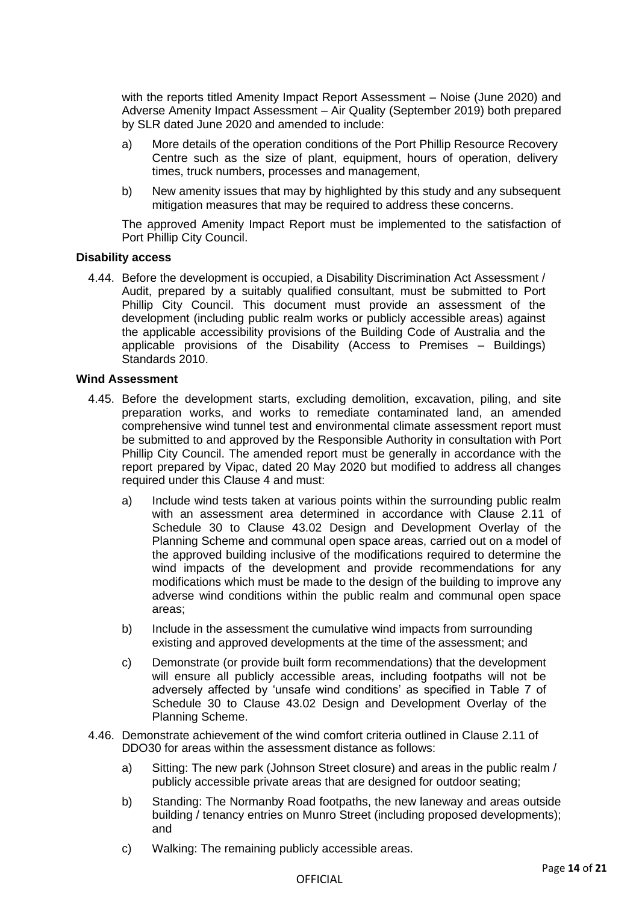with the reports titled Amenity Impact Report Assessment – Noise (June 2020) and Adverse Amenity Impact Assessment – Air Quality (September 2019) both prepared by SLR dated June 2020 and amended to include:

- a) More details of the operation conditions of the Port Phillip Resource Recovery Centre such as the size of plant, equipment, hours of operation, delivery times, truck numbers, processes and management,
- b) New amenity issues that may by highlighted by this study and any subsequent mitigation measures that may be required to address these concerns.

The approved Amenity Impact Report must be implemented to the satisfaction of Port Phillip City Council.

## **Disability access**

4.44. Before the development is occupied, a Disability Discrimination Act Assessment / Audit, prepared by a suitably qualified consultant, must be submitted to Port Phillip City Council. This document must provide an assessment of the development (including public realm works or publicly accessible areas) against the applicable accessibility provisions of the Building Code of Australia and the applicable provisions of the Disability (Access to Premises – Buildings) Standards 2010.

## **Wind Assessment**

- 4.45. Before the development starts, excluding demolition, excavation, piling, and site preparation works, and works to remediate contaminated land, an amended comprehensive wind tunnel test and environmental climate assessment report must be submitted to and approved by the Responsible Authority in consultation with Port Phillip City Council. The amended report must be generally in accordance with the report prepared by Vipac, dated 20 May 2020 but modified to address all changes required under this Clause 4 and must:
	- a) Include wind tests taken at various points within the surrounding public realm with an assessment area determined in accordance with Clause 2.11 of Schedule 30 to Clause 43.02 Design and Development Overlay of the Planning Scheme and communal open space areas, carried out on a model of the approved building inclusive of the modifications required to determine the wind impacts of the development and provide recommendations for any modifications which must be made to the design of the building to improve any adverse wind conditions within the public realm and communal open space areas;
	- b) Include in the assessment the cumulative wind impacts from surrounding existing and approved developments at the time of the assessment; and
	- c) Demonstrate (or provide built form recommendations) that the development will ensure all publicly accessible areas, including footpaths will not be adversely affected by 'unsafe wind conditions' as specified in Table 7 of Schedule 30 to Clause 43.02 Design and Development Overlay of the Planning Scheme.
- 4.46. Demonstrate achievement of the wind comfort criteria outlined in Clause 2.11 of DDO30 for areas within the assessment distance as follows:
	- a) Sitting: The new park (Johnson Street closure) and areas in the public realm / publicly accessible private areas that are designed for outdoor seating;
	- b) Standing: The Normanby Road footpaths, the new laneway and areas outside building / tenancy entries on Munro Street (including proposed developments); and
	- c) Walking: The remaining publicly accessible areas.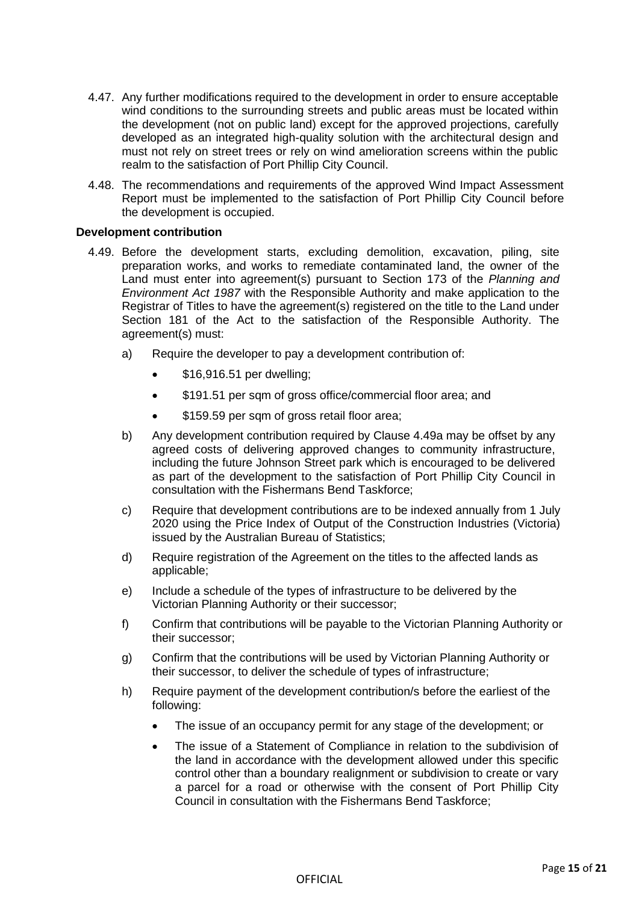- 4.47. Any further modifications required to the development in order to ensure acceptable wind conditions to the surrounding streets and public areas must be located within the development (not on public land) except for the approved projections, carefully developed as an integrated high-quality solution with the architectural design and must not rely on street trees or rely on wind amelioration screens within the public realm to the satisfaction of Port Phillip City Council.
- 4.48. The recommendations and requirements of the approved Wind Impact Assessment Report must be implemented to the satisfaction of Port Phillip City Council before the development is occupied.

## **Development contribution**

- 4.49. Before the development starts, excluding demolition, excavation, piling, site preparation works, and works to remediate contaminated land, the owner of the Land must enter into agreement(s) pursuant to Section 173 of the *Planning and Environment Act 1987* with the Responsible Authority and make application to the Registrar of Titles to have the agreement(s) registered on the title to the Land under Section 181 of the Act to the satisfaction of the Responsible Authority. The agreement(s) must:
	- a) Require the developer to pay a development contribution of:
		- \$16,916.51 per dwelling;
		- \$191.51 per sqm of gross office/commercial floor area; and
		- \$159.59 per sqm of gross retail floor area;
	- b) Any development contribution required by Clause 4.49a may be offset by any agreed costs of delivering approved changes to community infrastructure, including the future Johnson Street park which is encouraged to be delivered as part of the development to the satisfaction of Port Phillip City Council in consultation with the Fishermans Bend Taskforce;
	- c) Require that development contributions are to be indexed annually from 1 July 2020 using the Price Index of Output of the Construction Industries (Victoria) issued by the Australian Bureau of Statistics;
	- d) Require registration of the Agreement on the titles to the affected lands as applicable;
	- e) Include a schedule of the types of infrastructure to be delivered by the Victorian Planning Authority or their successor;
	- f) Confirm that contributions will be payable to the Victorian Planning Authority or their successor;
	- g) Confirm that the contributions will be used by Victorian Planning Authority or their successor, to deliver the schedule of types of infrastructure;
	- h) Require payment of the development contribution/s before the earliest of the following:
		- The issue of an occupancy permit for any stage of the development; or
		- The issue of a Statement of Compliance in relation to the subdivision of the land in accordance with the development allowed under this specific control other than a boundary realignment or subdivision to create or vary a parcel for a road or otherwise with the consent of Port Phillip City Council in consultation with the Fishermans Bend Taskforce;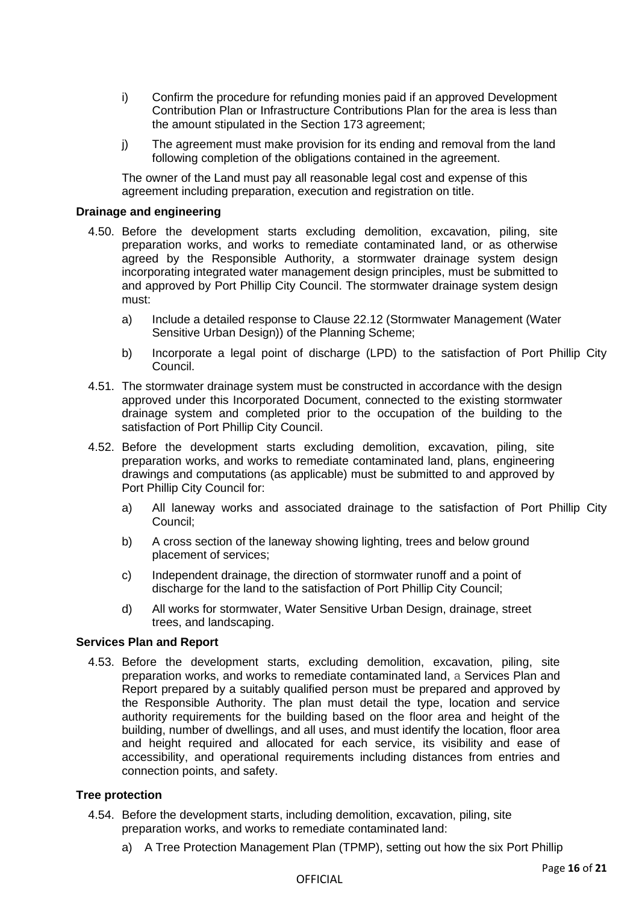- i) Confirm the procedure for refunding monies paid if an approved Development Contribution Plan or Infrastructure Contributions Plan for the area is less than the amount stipulated in the Section 173 agreement;
- j) The agreement must make provision for its ending and removal from the land following completion of the obligations contained in the agreement.

The owner of the Land must pay all reasonable legal cost and expense of this agreement including preparation, execution and registration on title.

## **Drainage and engineering**

- 4.50. Before the development starts excluding demolition, excavation, piling, site preparation works, and works to remediate contaminated land, or as otherwise agreed by the Responsible Authority, a stormwater drainage system design incorporating integrated water management design principles, must be submitted to and approved by Port Phillip City Council. The stormwater drainage system design must:
	- a) Include a detailed response to Clause 22.12 (Stormwater Management (Water Sensitive Urban Design)) of the Planning Scheme;
	- b) Incorporate a legal point of discharge (LPD) to the satisfaction of Port Phillip City Council.
- 4.51. The stormwater drainage system must be constructed in accordance with the design approved under this Incorporated Document, connected to the existing stormwater drainage system and completed prior to the occupation of the building to the satisfaction of Port Phillip City Council.
- 4.52. Before the development starts excluding demolition, excavation, piling, site preparation works, and works to remediate contaminated land, plans, engineering drawings and computations (as applicable) must be submitted to and approved by Port Phillip City Council for:
	- a) All laneway works and associated drainage to the satisfaction of Port Phillip City Council;
	- b) A cross section of the laneway showing lighting, trees and below ground placement of services;
	- c) Independent drainage, the direction of stormwater runoff and a point of discharge for the land to the satisfaction of Port Phillip City Council;
	- d) All works for stormwater, Water Sensitive Urban Design, drainage, street trees, and landscaping.

## **Services Plan and Report**

4.53. Before the development starts, excluding demolition, excavation, piling, site preparation works, and works to remediate contaminated land, a Services Plan and Report prepared by a suitably qualified person must be prepared and approved by the Responsible Authority. The plan must detail the type, location and service authority requirements for the building based on the floor area and height of the building, number of dwellings, and all uses, and must identify the location, floor area and height required and allocated for each service, its visibility and ease of accessibility, and operational requirements including distances from entries and connection points, and safety.

## **Tree protection**

- 4.54. Before the development starts, including demolition, excavation, piling, site preparation works, and works to remediate contaminated land:
	- a) A Tree Protection Management Plan (TPMP), setting out how the six Port Phillip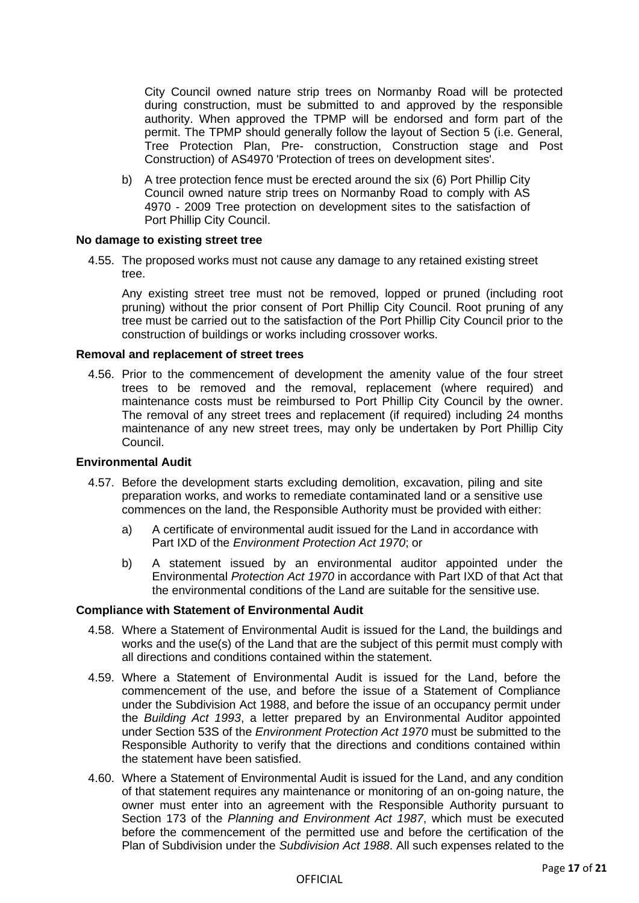City Council owned nature strip trees on Normanby Road will be protected during construction, must be submitted to and approved by the responsible authority. When approved the TPMP will be endorsed and form part of the permit. The TPMP should generally follow the layout of Section 5 (i.e. General, Tree Protection Plan, Pre- construction, Construction stage and Post Construction) of AS4970 'Protection of trees on development sites'.

b) A tree protection fence must be erected around the six (6) Port Phillip City Council owned nature strip trees on Normanby Road to comply with AS 4970 - 2009 Tree protection on development sites to the satisfaction of Port Phillip City Council.

## **No damage to existing street tree**

4.55. The proposed works must not cause any damage to any retained existing street tree.

Any existing street tree must not be removed, lopped or pruned (including root pruning) without the prior consent of Port Phillip City Council. Root pruning of any tree must be carried out to the satisfaction of the Port Phillip City Council prior to the construction of buildings or works including crossover works.

#### **Removal and replacement of street trees**

4.56. Prior to the commencement of development the amenity value of the four street trees to be removed and the removal, replacement (where required) and maintenance costs must be reimbursed to Port Phillip City Council by the owner. The removal of any street trees and replacement (if required) including 24 months maintenance of any new street trees, may only be undertaken by Port Phillip City Council.

#### **Environmental Audit**

- 4.57. Before the development starts excluding demolition, excavation, piling and site preparation works, and works to remediate contaminated land or a sensitive use commences on the land, the Responsible Authority must be provided with either:
	- a) A certificate of environmental audit issued for the Land in accordance with Part IXD of the *Environment Protection Act 1970*; or
	- b) A statement issued by an environmental auditor appointed under the Environmental *Protection Act 1970* in accordance with Part IXD of that Act that the environmental conditions of the Land are suitable for the sensitive use.

#### **Compliance with Statement of Environmental Audit**

- 4.58. Where a Statement of Environmental Audit is issued for the Land, the buildings and works and the use(s) of the Land that are the subject of this permit must comply with all directions and conditions contained within the statement.
- 4.59. Where a Statement of Environmental Audit is issued for the Land, before the commencement of the use, and before the issue of a Statement of Compliance under the Subdivision Act 1988, and before the issue of an occupancy permit under the *Building Act 1993*, a letter prepared by an Environmental Auditor appointed under Section 53S of the *Environment Protection Act 1970* must be submitted to the Responsible Authority to verify that the directions and conditions contained within the statement have been satisfied.
- 4.60. Where a Statement of Environmental Audit is issued for the Land, and any condition of that statement requires any maintenance or monitoring of an on-going nature, the owner must enter into an agreement with the Responsible Authority pursuant to Section 173 of the *Planning and Environment Act 1987*, which must be executed before the commencement of the permitted use and before the certification of the Plan of Subdivision under the *Subdivision Act 1988*. All such expenses related to the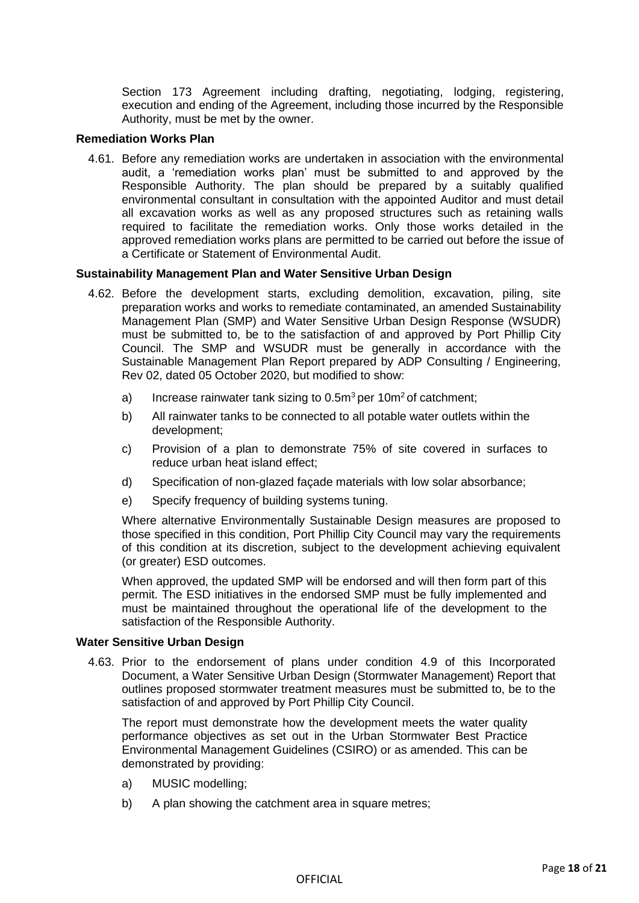Section 173 Agreement including drafting, negotiating, lodging, registering, execution and ending of the Agreement, including those incurred by the Responsible Authority, must be met by the owner.

## **Remediation Works Plan**

4.61. Before any remediation works are undertaken in association with the environmental audit, a 'remediation works plan' must be submitted to and approved by the Responsible Authority. The plan should be prepared by a suitably qualified environmental consultant in consultation with the appointed Auditor and must detail all excavation works as well as any proposed structures such as retaining walls required to facilitate the remediation works. Only those works detailed in the approved remediation works plans are permitted to be carried out before the issue of a Certificate or Statement of Environmental Audit.

## **Sustainability Management Plan and Water Sensitive Urban Design**

- 4.62. Before the development starts, excluding demolition, excavation, piling, site preparation works and works to remediate contaminated, an amended Sustainability Management Plan (SMP) and Water Sensitive Urban Design Response (WSUDR) must be submitted to, be to the satisfaction of and approved by Port Phillip City Council. The SMP and WSUDR must be generally in accordance with the Sustainable Management Plan Report prepared by ADP Consulting / Engineering, Rev 02, dated 05 October 2020, but modified to show:
	- a) Increase rainwater tank sizing to  $0.5m^3$  per 10m<sup>2</sup> of catchment;
	- b) All rainwater tanks to be connected to all potable water outlets within the development;
	- c) Provision of a plan to demonstrate 75% of site covered in surfaces to reduce urban heat island effect;
	- d) Specification of non-glazed façade materials with low solar absorbance;
	- e) Specify frequency of building systems tuning.

Where alternative Environmentally Sustainable Design measures are proposed to those specified in this condition, Port Phillip City Council may vary the requirements of this condition at its discretion, subject to the development achieving equivalent (or greater) ESD outcomes.

When approved, the updated SMP will be endorsed and will then form part of this permit. The ESD initiatives in the endorsed SMP must be fully implemented and must be maintained throughout the operational life of the development to the satisfaction of the Responsible Authority.

## **Water Sensitive Urban Design**

4.63. Prior to the endorsement of plans under condition 4.9 of this Incorporated Document, a Water Sensitive Urban Design (Stormwater Management) Report that outlines proposed stormwater treatment measures must be submitted to, be to the satisfaction of and approved by Port Phillip City Council.

The report must demonstrate how the development meets the water quality performance objectives as set out in the Urban Stormwater Best Practice Environmental Management Guidelines (CSIRO) or as amended. This can be demonstrated by providing:

- a) MUSIC modelling;
- b) A plan showing the catchment area in square metres;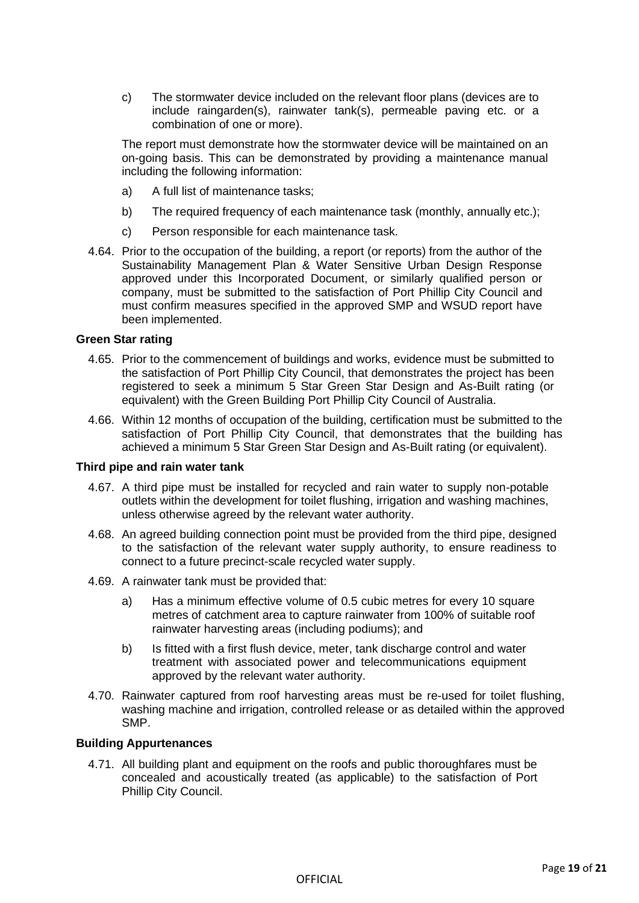c) The stormwater device included on the relevant floor plans (devices are to include raingarden(s), rainwater tank(s), permeable paving etc. or a combination of one or more).

The report must demonstrate how the stormwater device will be maintained on an on-going basis. This can be demonstrated by providing a maintenance manual including the following information:

- a) A full list of maintenance tasks;
- b) The required frequency of each maintenance task (monthly, annually etc.);
- c) Person responsible for each maintenance task.
- 4.64. Prior to the occupation of the building, a report (or reports) from the author of the Sustainability Management Plan & Water Sensitive Urban Design Response approved under this Incorporated Document, or similarly qualified person or company, must be submitted to the satisfaction of Port Phillip City Council and must confirm measures specified in the approved SMP and WSUD report have been implemented.

## **Green Star rating**

- 4.65. Prior to the commencement of buildings and works, evidence must be submitted to the satisfaction of Port Phillip City Council, that demonstrates the project has been registered to seek a minimum 5 Star Green Star Design and As-Built rating (or equivalent) with the Green Building Port Phillip City Council of Australia.
- 4.66. Within 12 months of occupation of the building, certification must be submitted to the satisfaction of Port Phillip City Council, that demonstrates that the building has achieved a minimum 5 Star Green Star Design and As-Built rating (or equivalent).

## **Third pipe and rain water tank**

- 4.67. A third pipe must be installed for recycled and rain water to supply non-potable outlets within the development for toilet flushing, irrigation and washing machines, unless otherwise agreed by the relevant water authority.
- 4.68. An agreed building connection point must be provided from the third pipe, designed to the satisfaction of the relevant water supply authority, to ensure readiness to connect to a future precinct-scale recycled water supply.
- 4.69. A rainwater tank must be provided that:
	- a) Has a minimum effective volume of 0.5 cubic metres for every 10 square metres of catchment area to capture rainwater from 100% of suitable roof rainwater harvesting areas (including podiums); and
	- b) Is fitted with a first flush device, meter, tank discharge control and water treatment with associated power and telecommunications equipment approved by the relevant water authority.
- 4.70. Rainwater captured from roof harvesting areas must be re-used for toilet flushing, washing machine and irrigation, controlled release or as detailed within the approved SMP.

## **Building Appurtenances**

4.71. All building plant and equipment on the roofs and public thoroughfares must be concealed and acoustically treated (as applicable) to the satisfaction of Port Phillip City Council.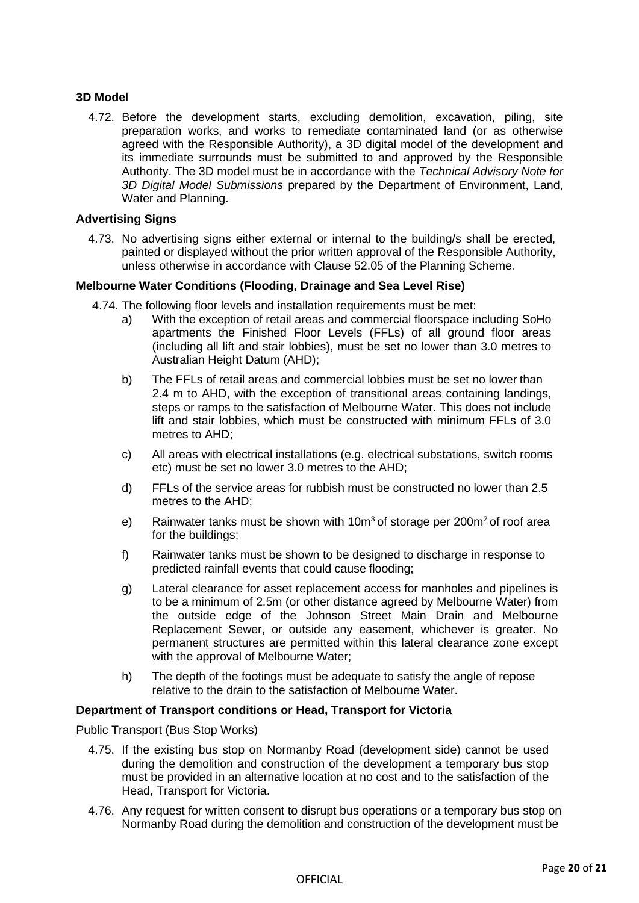## **3D Model**

4.72. Before the development starts, excluding demolition, excavation, piling, site preparation works, and works to remediate contaminated land (or as otherwise agreed with the Responsible Authority), a 3D digital model of the development and its immediate surrounds must be submitted to and approved by the Responsible Authority. The 3D model must be in accordance with the *Technical Advisory Note for 3D Digital Model Submissions* prepared by the Department of Environment, Land, Water and Planning.

## **Advertising Signs**

4.73. No advertising signs either external or internal to the building/s shall be erected, painted or displayed without the prior written approval of the Responsible Authority, unless otherwise in accordance with Clause 52.05 of the Planning Scheme.

## **Melbourne Water Conditions (Flooding, Drainage and Sea Level Rise)**

- 4.74. The following floor levels and installation requirements must be met:
	- a) With the exception of retail areas and commercial floorspace including SoHo apartments the Finished Floor Levels (FFLs) of all ground floor areas (including all lift and stair lobbies), must be set no lower than 3.0 metres to Australian Height Datum (AHD);
	- b) The FFLs of retail areas and commercial lobbies must be set no lower than 2.4 m to AHD, with the exception of transitional areas containing landings, steps or ramps to the satisfaction of Melbourne Water. This does not include lift and stair lobbies, which must be constructed with minimum FFLs of 3.0 metres to AHD;
	- c) All areas with electrical installations (e.g. electrical substations, switch rooms etc) must be set no lower 3.0 metres to the AHD;
	- d) FFLs of the service areas for rubbish must be constructed no lower than 2.5 metres to the AHD;
	- e) Rainwater tanks must be shown with 10 $m<sup>3</sup>$  of storage per 200 $m<sup>2</sup>$  of roof area for the buildings;
	- f) Rainwater tanks must be shown to be designed to discharge in response to predicted rainfall events that could cause flooding;
	- g) Lateral clearance for asset replacement access for manholes and pipelines is to be a minimum of 2.5m (or other distance agreed by Melbourne Water) from the outside edge of the Johnson Street Main Drain and Melbourne Replacement Sewer, or outside any easement, whichever is greater. No permanent structures are permitted within this lateral clearance zone except with the approval of Melbourne Water;
	- h) The depth of the footings must be adequate to satisfy the angle of repose relative to the drain to the satisfaction of Melbourne Water.

## **Department of Transport conditions or Head, Transport for Victoria**

## Public Transport (Bus Stop Works)

- 4.75. If the existing bus stop on Normanby Road (development side) cannot be used during the demolition and construction of the development a temporary bus stop must be provided in an alternative location at no cost and to the satisfaction of the Head, Transport for Victoria.
- 4.76. Any request for written consent to disrupt bus operations or a temporary bus stop on Normanby Road during the demolition and construction of the development must be